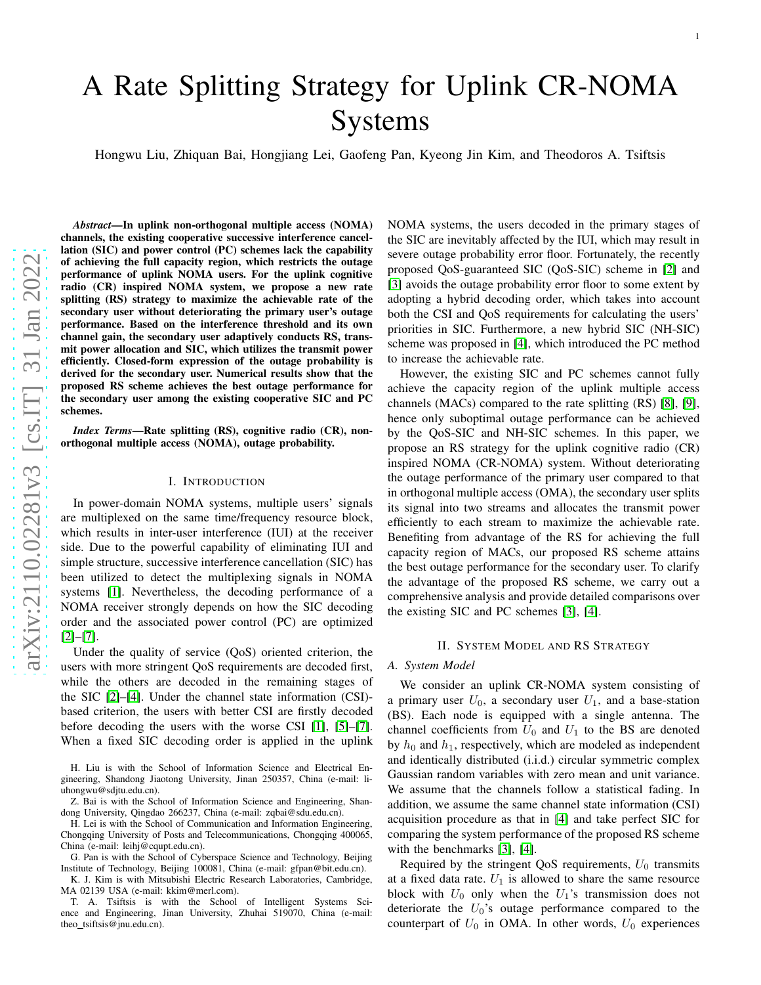# A Rate Splitting Strategy for Uplink CR-NOMA Systems

Hongwu Liu, Zhiquan Bai, Hongjiang Lei, Gaofeng Pan, Kyeong Jin Kim, and Theodoros A. Tsiftsis

*Abstract*—In uplink non-orthogonal multiple access (NOMA) channels, the existing cooperative successive interference cancellation (SIC) and power control (PC) schemes lack the capability of achieving the full capacity region, which restricts the outage performance of uplink NOMA users. For the uplink cognitive radio (CR) inspired NOMA system, we propose a new rate splitting (RS) strategy to maximize the achievable rate of the secondary user without deteriorating the primary user's outage performance. Based on the interference threshold and its ow n channel gain, the secondary user adaptively conducts RS, transmit power allocation and SIC, which utilizes the transmit power efficiently. Closed-form expression of the outage probability is derived for the secondary user. Numerical results show that the proposed RS scheme achieves the best outage performance for the secondary user among the existing cooperative SIC and PC schemes.

*Index Terms*—Rate splitting (RS), cognitive radio (CR), nonorthogonal multiple access (NOMA), outage probability.

#### I. INTRODUCTION

In power-domain NOMA systems, multiple users' signals are multiplexed on the same time/frequency resource block, which results in inter-user interference (IUI) at the receiver side. Due to the powerful capability of eliminating IUI and simple structure, successive interference cancellation (SIC) has been utilized to detect the multiplexing signals in NOMA systems [\[1\]](#page-4-0). Nevertheless, the decoding performance of a NOMA receiver strongly depends on how the SIC decoding order and the associated power control (PC) are optimized [\[2\]](#page-4-1)–[\[7\]](#page-4-2).

Under the quality of service (QoS) oriented criterion, the users with more stringent QoS requirements are decoded first , while the others are decoded in the remaining stages of the SIC [\[2\]](#page-4-1)–[\[4\]](#page-4-3). Under the channel state information (CSI) based criterion, the users with better CSI are firstly decode d before decoding the users with the worse CSI [\[1\]](#page-4-0), [\[5\]](#page-4-4)–[\[7\]](#page-4-2). When a fixed SIC decoding order is applied in the uplink

H. Liu is with the School of Information Science and Electrical Engineering, Shandong Jiaotong University, Jinan 250357, China (e-mail: liuhongwu@sdjtu.edu.cn).

H. Lei is with the School of Communication and Information Engineering, Chongqing University of Posts and Telecommunications, Chongqing 400065, China (e-mail: leihj@cqupt.edu.cn).

G. Pan is with the School of Cyberspace Science and Technology, Beijing Institute of Technology, Beijing 100081, China (e-mail: gfpan@bit.edu.cn).

K. J. Kim is with Mitsubishi Electric Research Laboratories, Cambridge, MA 02139 USA (e-mail: kkim@merl.com).

T. A. Tsiftsis is with the School of Intelligent Systems Science and Engineering, Jinan University, Zhuhai 519070, China (e-mail: theo tsiftsis@jnu.edu.cn).

NOMA systems, the users decoded in the primary stages of the SIC are inevitably affected by the IUI, which may result i n severe outage probability error floor. Fortunately, the recently proposed QoS-guaranteed SIC (QoS-SIC) scheme in [\[2\]](#page-4-1) and [\[3\]](#page-4-5) avoids the outage probability error floor to some extent by adopting a hybrid decoding order, which takes into account both the CSI and QoS requirements for calculating the users' priorities in SIC. Furthermore, a new hybrid SIC (NH-SIC) scheme was proposed in [\[4\]](#page-4-3), which introduced the PC method to increase the achievable rate.

However, the existing SIC and PC schemes cannot fully achieve the capacity region of the uplink multiple access channels (MACs) compared to the rate splitting (RS) [\[8\]](#page-4-6), [\[9\]](#page-4-7) , hence only suboptimal outage performance can be achieved by the QoS-SIC and NH-SIC schemes. In this paper, we propose an RS strategy for the uplink cognitive radio (CR) inspired NOMA (CR-NOMA) system. Without deteriorating the outage performance of the primary user compared to that in orthogonal multiple access (OMA), the secondary user splits its signal into two streams and allocates the transmit power efficiently to each stream to maximize the achievable rate. Benefiting from advantage of the RS for achieving the full capacity region of MACs, our proposed RS scheme attains the best outage performance for the secondary user. To clarify the advantage of the proposed RS scheme, we carry out a comprehensive analysis and provide detailed comparisons over the existing SIC and PC schemes [\[3\]](#page-4-5), [\[4\]](#page-4-3).

## II. SYSTEM MODEL AND RS STRATEGY

#### *A. System Model*

We consider an uplink CR-NOMA system consisting of a primary user  $U_0$ , a secondary user  $U_1$ , and a base-station (BS). Each node is equipped with a single antenna. The channel coefficients from  $U_0$  and  $U_1$  to the BS are denoted by  $h_0$  and  $h_1$ , respectively, which are modeled as independent and identically distributed (i.i.d.) circular symmetric complex Gaussian random variables with zero mean and unit variance. We assume that the channels follow a statistical fading. In addition, we assume the same channel state information (CSI ) acquisition procedure as that in [\[4\]](#page-4-3) and take perfect SIC for comparing the system performance of the proposed RS scheme with the benchmarks [\[3\]](#page-4-5), [\[4\]](#page-4-3).

Required by the stringent QoS requirements,  $U_0$  transmits at a fixed data rate.  $U_1$  is allowed to share the same resource block with  $U_0$  only when the  $U_1$ 's transmission does not deteriorate the  $U_0$ 's outage performance compared to the counterpart of  $U_0$  in OMA. In other words,  $U_0$  experiences

Z. Bai is with the School of Information Science and Engineering, Shandong University, Qingdao 266237, China (e-mail: zqbai@sdu.edu.cn).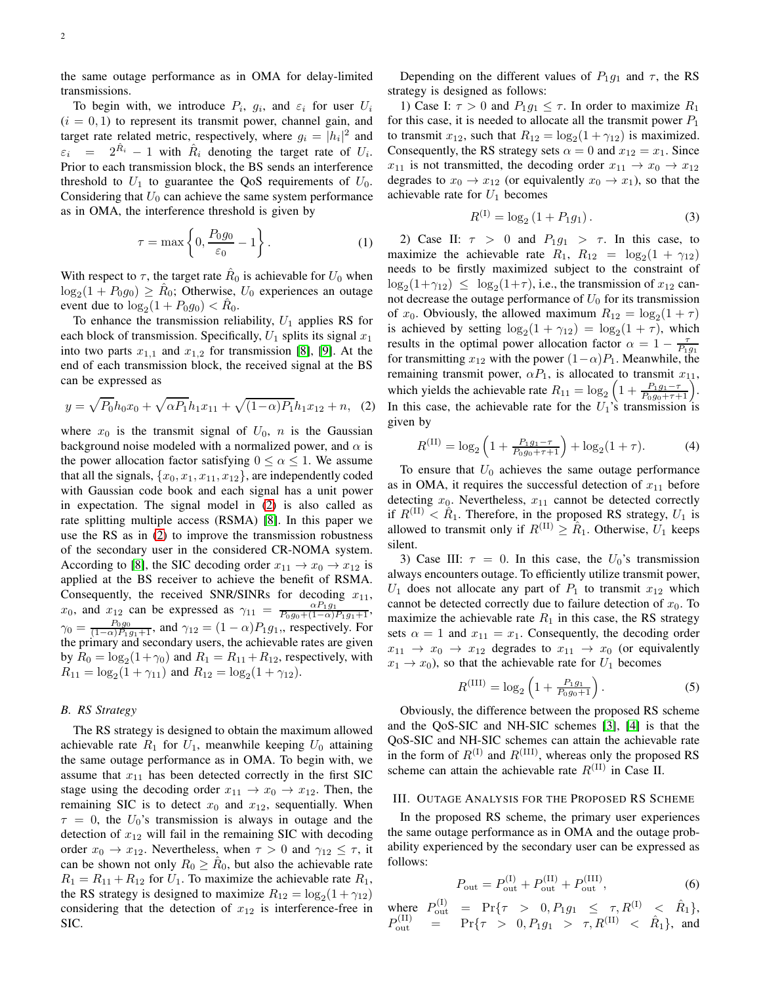the same outage performance as in OMA for delay-limited transmissions.

To begin with, we introduce  $P_i$ ,  $g_i$ , and  $\varepsilon_i$  for user  $U_i$  $(i = 0, 1)$  to represent its transmit power, channel gain, and target rate related metric, respectively, where  $g_i = |h_i|^2$  and  $\varepsilon_i$  =  $2^{\hat{R}_i}$  - 1 with  $\hat{R}_i$  denoting the target rate of  $U_i$ . Prior to each transmission block, the BS sends an interference threshold to  $U_1$  to guarantee the QoS requirements of  $U_0$ . Considering that  $U_0$  can achieve the same system performance as in OMA, the interference threshold is given by

$$
\tau = \max\left\{0, \frac{P_0 g_0}{\varepsilon_0} - 1\right\}.
$$
 (1)

With respect to  $\tau$ , the target rate  $\hat{R}_0$  is achievable for  $U_0$  when  $log_2(1 + P_0 g_0) \ge \hat{R}_0$ ; Otherwise,  $U_0$  experiences an outage event due to  $\log_2(1 + P_0 g_0) < \hat{R}_0$ .

To enhance the transmission reliability,  $U_1$  applies RS for each block of transmission. Specifically,  $U_1$  splits its signal  $x_1$ into two parts  $x_{1,1}$  and  $x_{1,2}$  for transmission [\[8\]](#page-4-6), [\[9\]](#page-4-7). At the end of each transmission block, the received signal at the BS can be expressed as

<span id="page-1-0"></span>
$$
y = \sqrt{P_0}h_0x_0 + \sqrt{\alpha P_1}h_1x_{11} + \sqrt{(1-\alpha)P_1}h_1x_{12} + n,\quad (2)
$$

where  $x_0$  is the transmit signal of  $U_0$ , n is the Gaussian background noise modeled with a normalized power, and  $\alpha$  is the power allocation factor satisfying  $0 \le \alpha \le 1$ . We assume that all the signals,  $\{x_0, x_1, x_{11}, x_{12}\}$ , are independently coded with Gaussian code book and each signal has a unit power in expectation. The signal model in [\(2\)](#page-1-0) is also called as rate splitting multiple access (RSMA) [\[8\]](#page-4-6). In this paper we use the RS as in [\(2\)](#page-1-0) to improve the transmission robustness of the secondary user in the considered CR-NOMA system. According to [\[8\]](#page-4-6), the SIC decoding order  $x_{11} \rightarrow x_0 \rightarrow x_{12}$  is applied at the BS receiver to achieve the benefit of RSMA. Consequently, the received SNR/SINRs for decoding  $x_{11}$ ,  $x_0$ , and  $x_{12}$  can be expressed as  $\gamma_{11} = \frac{\alpha P_1 g_1}{P_0 g_0 + (1-\alpha)P_1 g_1 + 1}$ ,  $\gamma_0 = \frac{P_0 g_0}{(1-\alpha)P_1 g_1+1}$ , and  $\gamma_{12} = (1-\alpha)P_1 g_1$ , respectively. For the primary and secondary users, the achievable rates are given by  $R_0 = \log_2(1+\gamma_0)$  and  $R_1 = R_{11} + R_{12}$ , respectively, with  $R_{11} = \log_2(1 + \gamma_{11})$  and  $R_{12} = \log_2(1 + \gamma_{12})$ .

## *B. RS Strategy*

The RS strategy is designed to obtain the maximum allowed achievable rate  $R_1$  for  $U_1$ , meanwhile keeping  $U_0$  attaining the same outage performance as in OMA. To begin with, we assume that  $x_{11}$  has been detected correctly in the first SIC stage using the decoding order  $x_{11} \rightarrow x_0 \rightarrow x_{12}$ . Then, the remaining SIC is to detect  $x_0$  and  $x_{12}$ , sequentially. When  $\tau = 0$ , the  $U_0$ 's transmission is always in outage and the detection of  $x_{12}$  will fail in the remaining SIC with decoding order  $x_0 \to x_{12}$ . Nevertheless, when  $\tau > 0$  and  $\gamma_{12} \leq \tau$ , it can be shown not only  $R_0 \ge \hat{R}_0$ , but also the achievable rate  $R_1 = R_{11} + R_{12}$  for  $U_1$ . To maximize the achievable rate  $R_1$ , the RS strategy is designed to maximize  $R_{12} = \log_2(1 + \gamma_{12})$ considering that the detection of  $x_{12}$  is interference-free in SIC.

Depending on the different values of  $P_1q_1$  and  $\tau$ , the RS strategy is designed as follows:

1) Case I:  $\tau > 0$  and  $P_1 g_1 \leq \tau$ . In order to maximize  $R_1$ for this case, it is needed to allocate all the transmit power  $P_1$ to transmit  $x_{12}$ , such that  $R_{12} = \log_2(1 + \gamma_{12})$  is maximized. Consequently, the RS strategy sets  $\alpha = 0$  and  $x_{12} = x_1$ . Since  $x_{11}$  is not transmitted, the decoding order  $x_{11} \rightarrow x_0 \rightarrow x_{12}$ degrades to  $x_0 \rightarrow x_{12}$  (or equivalently  $x_0 \rightarrow x_1$ ), so that the achievable rate for  $U_1$  becomes

$$
R^{(1)} = \log_2\left(1 + P_1 g_1\right). \tag{3}
$$

2) Case II:  $\tau > 0$  and  $P_1g_1 > \tau$ . In this case, to maximize the achievable rate  $R_1$ ,  $R_{12} = \log_2(1 + \gamma_{12})$ needs to be firstly maximized subject to the constraint of  $\log_2(1+\gamma_{12}) \leq \log_2(1+\tau)$ , i.e., the transmission of  $x_{12}$  cannot decrease the outage performance of  $U_0$  for its transmission of  $x_0$ . Obviously, the allowed maximum  $R_{12} = \log_2(1 + \tau)$ is achieved by setting  $\log_2(1 + \gamma_{12}) = \log_2(1 + \tau)$ , which results in the optimal power allocation factor  $\alpha = 1 - \frac{\tau}{P_1 g_1}$ for transmitting  $x_{12}$  with the power  $(1-\alpha)P_1$ . Meanwhile, the remaining transmit power,  $\alpha P_1$ , is allocated to transmit  $x_{11}$ , which yields the achievable rate  $R_{11} = \log_2 \left( 1 + \frac{P_1 g_1 - \tau}{P_0 g_0 + \tau + 1} \right)$ . In this case, the achievable rate for the  $U_1$ 's transmission is given by

$$
R^{(\text{II})} = \log_2 \left( 1 + \frac{P_1 g_1 - \tau}{P_0 g_0 + \tau + 1} \right) + \log_2 (1 + \tau). \tag{4}
$$

To ensure that  $U_0$  achieves the same outage performance as in OMA, it requires the successful detection of  $x_{11}$  before detecting  $x_0$ . Nevertheless,  $x_{11}$  cannot be detected correctly if  $R^{(II)} < \hat{R}_1$ . Therefore, in the proposed RS strategy,  $U_1$  is allowed to transmit only if  $R^{(II)} \geq \hat{R}_1$ . Otherwise,  $U_1$  keeps silent.

3) Case III:  $\tau = 0$ . In this case, the  $U_0$ 's transmission always encounters outage. To efficiently utilize transmit power,  $U_1$  does not allocate any part of  $P_1$  to transmit  $x_{12}$  which cannot be detected correctly due to failure detection of  $x_0$ . To maximize the achievable rate  $R_1$  in this case, the RS strategy sets  $\alpha = 1$  and  $x_{11} = x_1$ . Consequently, the decoding order  $x_{11} \rightarrow x_0 \rightarrow x_{12}$  degrades to  $x_{11} \rightarrow x_0$  (or equivalently  $x_1 \rightarrow x_0$ ), so that the achievable rate for  $U_1$  becomes

$$
R^{(\text{III})} = \log_2 \left( 1 + \frac{P_{1}g_1}{P_0 g_0 + 1} \right). \tag{5}
$$

Obviously, the difference between the proposed RS scheme and the QoS-SIC and NH-SIC schemes [\[3\]](#page-4-5), [\[4\]](#page-4-3) is that the QoS-SIC and NH-SIC schemes can attain the achievable rate in the form of  $R^{(I)}$  and  $R^{(III)}$ , whereas only the proposed RS scheme can attain the achievable rate  $R^{(II)}$  in Case II.

## III. OUTAGE ANALYSIS FOR THE PROPOSED RS SCHEME

In the proposed RS scheme, the primary user experiences the same outage performance as in OMA and the outage probability experienced by the secondary user can be expressed as follows:

$$
P_{\text{out}} = P_{\text{out}}^{(I)} + P_{\text{out}}^{(II)} + P_{\text{out}}^{(III)},
$$
\n(6)

where  $P_{\text{out}}^{(1)} = \Pr{\tau > 0, P_1 g_1 \leq \tau, R^{(1)} \leq \hat{R}_1},$  $P_{\text{out}}^{(\text{II})}$  = Pr{ $\tau > 0, P_1 g_1 > \tau, R^{(\text{II})} < \hat{R}_1$ }, and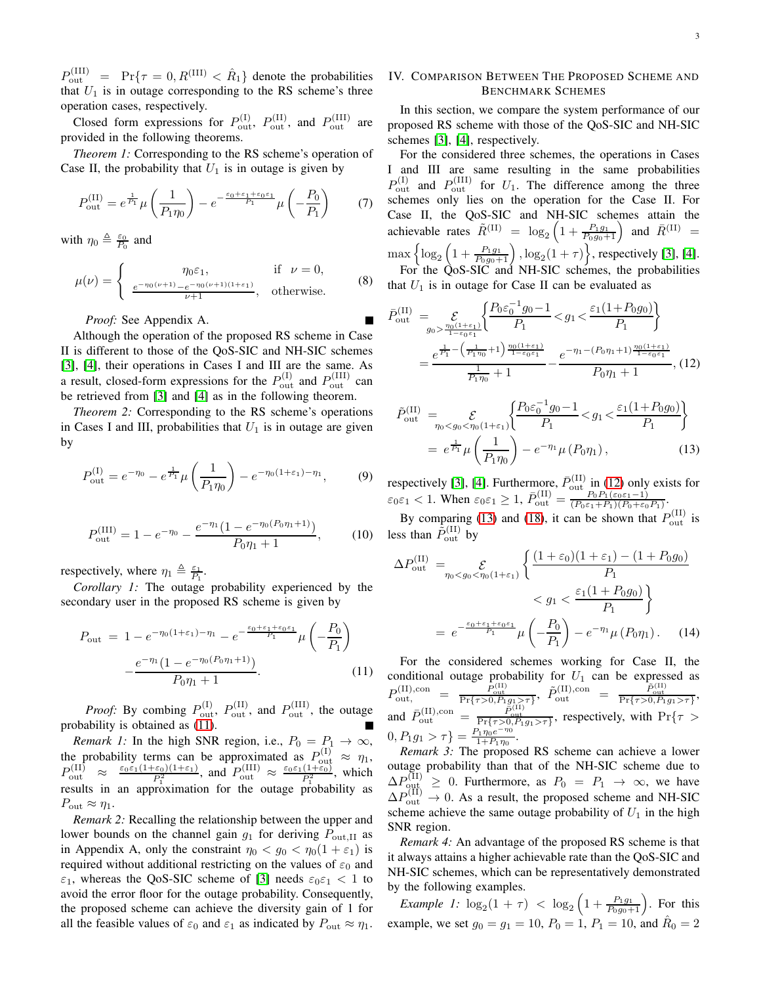$P_{\text{out}}^{(\text{III})}$  = Pr{ $\tau = 0, R^{(\text{III})} < \hat{R}_1$ } denote the probabilities that  $U_1$  is in outage corresponding to the RS scheme's three operation cases, respectively.

Closed form expressions for  $P_{\text{out}}^{(I)}$ ,  $P_{\text{out}}^{(II)}$ , and  $P_{\text{out}}^{(III)}$  are provided in the following theorems.

*Theorem 1:* Corresponding to the RS scheme's operation of Case II, the probability that  $U_1$  is in outage is given by

$$
P_{\text{out}}^{(\text{II})} = e^{\frac{1}{P_1}} \mu \left( \frac{1}{P_1 \eta_0} \right) - e^{-\frac{\varepsilon_0 + \varepsilon_1 + \varepsilon_0 \varepsilon_1}{P_1}} \mu \left( -\frac{P_0}{P_1} \right) \tag{7}
$$

with  $\eta_0 \triangleq \frac{\varepsilon_0}{P_0}$  and

$$
\mu(\nu) = \begin{cases}\n\eta_0 \varepsilon_1, & \text{if } \nu = 0, \\
\underline{e^{-\eta_0(\nu+1)} - e^{-\eta_0(\nu+1)(1+\varepsilon_1)}}_{\nu+1}, & \text{otherwise.} \n\end{cases}
$$
\n(8)

*Proof:* See Appendix A.

Although the operation of the proposed RS scheme in Case II is different to those of the QoS-SIC and NH-SIC schemes [\[3\]](#page-4-5), [\[4\]](#page-4-3), their operations in Cases I and III are the same. As a result, closed-form expressions for the  $P_{\text{out}}^{(I)}$  and  $P_{\text{out}}^{(III)}$  can be retrieved from [\[3\]](#page-4-5) and [\[4\]](#page-4-3) as in the following theorem.

*Theorem 2:* Corresponding to the RS scheme's operations in Cases I and III, probabilities that  $U_1$  is in outage are given by

$$
P_{\text{out}}^{(1)} = e^{-\eta_0} - e^{\frac{1}{P_1}} \mu \left( \frac{1}{P_1 \eta_0} \right) - e^{-\eta_0 (1 + \varepsilon_1) - \eta_1}, \tag{9}
$$

$$
P_{\text{out}}^{(\text{III})} = 1 - e^{-\eta_0} - \frac{e^{-\eta_1}(1 - e^{-\eta_0(P_0\eta_1 + 1)})}{P_0\eta_1 + 1},\tag{10}
$$

respectively, where  $\eta_1 \triangleq \frac{\varepsilon_1}{P_1}$ .

*Corollary 1:* The outage probability experienced by the secondary user in the proposed RS scheme is given by

<span id="page-2-0"></span>
$$
P_{\text{out}} = 1 - e^{-\eta_0 (1 + \varepsilon_1) - \eta_1} - e^{-\frac{\varepsilon_0 + \varepsilon_1 + \varepsilon_0 \varepsilon_1}{P_1}} \mu \left( -\frac{P_0}{P_1} \right)
$$

$$
- \frac{e^{-\eta_1} (1 - e^{-\eta_0 (P_0 \eta_1 + 1)})}{P_0 \eta_1 + 1}.
$$
 (11)

*Proof:* By combing  $P_{\text{out}}^{(I)}$ ,  $P_{\text{out}}^{(II)}$ , and  $P_{\text{out}}^{(III)}$ , the outage probability is obtained as [\(11\)](#page-2-0).

*Remark 1:* In the high SNR region, i.e.,  $P_0 = P_1 \rightarrow \infty$ , the probability terms can be approximated as  $P_{\text{out}}^{(1)} \approx \eta_1$ ,  $P_{\text{out}}^{(\text{II})} \approx \frac{\varepsilon_0 \varepsilon_1 (1+\varepsilon_0)(1+\varepsilon_1)}{P_1^2}$ , and  $P_{\text{out}}^{(\text{III})} \approx \frac{\varepsilon_0 \varepsilon_1 (1+\varepsilon_0)}{P_1^2}$ , which results in an approximation for the outage probability as  $P_{\text{out}} \approx \eta_1.$ 

*Remark 2:* Recalling the relationship between the upper and lower bounds on the channel gain  $g_1$  for deriving  $P_{\text{out,II}}$  as in Appendix A, only the constraint  $\eta_0 < g_0 < \eta_0(1 + \varepsilon_1)$  is required without additional restricting on the values of  $\varepsilon_0$  and  $\varepsilon_1$ , whereas the QoS-SIC scheme of [\[3\]](#page-4-5) needs  $\varepsilon_0 \varepsilon_1 < 1$  to avoid the error floor for the outage probability. Consequently, the proposed scheme can achieve the diversity gain of 1 for all the feasible values of  $\varepsilon_0$  and  $\varepsilon_1$  as indicated by  $P_{\text{out}} \approx \eta_1$ .

# IV. COMPARISON BETWEEN THE PROPOSED SCHEME AND BENCHMARK SCHEMES

In this section, we compare the system performance of our proposed RS scheme with those of the QoS-SIC and NH-SIC schemes [\[3\]](#page-4-5), [\[4\]](#page-4-3), respectively.

For the considered three schemes, the operations in Cases I and III are same resulting in the same probabilities  $P_{\text{out}}^{(II)}$  and  $P_{\text{out}}^{(III)}$  for  $U_1$ . The difference among the three schemes only lies on the operation for the Case II. For Case II, the QoS-SIC and NH-SIC schemes attain the achievable rates  $\tilde{R}^{(\text{II})} = \log_2 \left(1 + \frac{P_1 g_1}{P_0 g_0 + 1}\right)$  and  $\bar{R}^{(\text{II})} =$  $\max\Big\{\log_2\Big(1+\frac{P_1g_1}{P_0g_0+1}\Big)\,, \log_2(1+\tau)\Big\},$  respectively [\[3\]](#page-4-5), [\[4\]](#page-4-3). For the QoS-SIC and NH-SIC schemes, the probabilities

that  $U_1$  is in outage for Case II can be evaluated as

<span id="page-2-1"></span>
$$
\bar{P}_{\text{out}}^{(\text{II})} = \sum_{g_0 > \frac{\eta_0(1+\varepsilon_1)}{1-\varepsilon_0 \varepsilon_1}} \left\{ \frac{P_0 \varepsilon_0^{-1} g_0 - 1}{P_1} < g_1 < \frac{\varepsilon_1 (1+P_0 g_0)}{P_1} \right\}
$$
\n
$$
= \frac{e^{\frac{1}{P_1} - \left(\frac{1}{P_1 \eta_0} + 1\right) \frac{\eta_0 (1+\varepsilon_1)}{1-\varepsilon_0 \varepsilon_1}}}{\frac{1}{P_1 \eta_0} + 1} - \frac{e^{-\eta_1 - (P_0 \eta_1 + 1) \frac{\eta_0 (1+\varepsilon_1)}{1-\varepsilon_0 \varepsilon_1}}}{P_0 \eta_1 + 1}, \quad (12)
$$

<span id="page-2-2"></span>
$$
\tilde{P}_{\text{out}}^{(\text{II})} = \mathcal{E}_{\eta_0 < g_0 < \eta_0 (1 + \varepsilon_1)} \left\{ \frac{P_0 \varepsilon_0^{-1} g_0 - 1}{P_1} < g_1 < \frac{\varepsilon_1 (1 + P_0 g_0)}{P_1} \right\} \\
= e^{\frac{1}{P_1}} \mu \left( \frac{1}{P_1 \eta_0} \right) - e^{-\eta_1} \mu \left( P_0 \eta_1 \right), \tag{13}
$$

respectively [\[3\]](#page-4-5), [\[4\]](#page-4-3). Furthermore,  $\bar{P}_{\text{out}}^{(\text{II})}$  in [\(12\)](#page-2-1) only exists for  $\varepsilon_0 \varepsilon_1 < 1$ . When  $\varepsilon_0 \varepsilon_1 \geq 1$ ,  $\bar{P}_{\text{out}}^{(\text{II})} = \frac{P_0 P_1(\varepsilon_0 \varepsilon_1 - 1)}{(P_0 \varepsilon_1 + P_1)(P_0 + \varepsilon_0)}$  $\frac{P_0 P_1(\varepsilon_0 \varepsilon_1 - 1)}{(P_0 \varepsilon_1 + P_1)(P_0 + \varepsilon_0 P_1)}$ 

By comparing [\(13\)](#page-2-2) and [\(18\)](#page-4-8), it can be shown that  $P_{\text{out}}^{(II)}$  is less than  $\tilde{P}_{\text{out}}^{(II)}$  by

$$
\Delta P_{\text{out}}^{(\text{II})} = \mathcal{E}_{\eta_0 < g_0 < \eta_0 (1 + \varepsilon_1)} \left\{ \frac{(1 + \varepsilon_0)(1 + \varepsilon_1) - (1 + P_0 g_0)}{P_1} \right\} < g_1 < \frac{\varepsilon_1 (1 + P_0 g_0)}{P_1} \right\} \n= e^{-\frac{\varepsilon_0 + \varepsilon_1 + \varepsilon_0 \varepsilon_1}{P_1}} \mu \left( -\frac{P_0}{P_1} \right) - e^{-\eta_1} \mu \left( P_0 \eta_1 \right). \tag{14}
$$

For the considered schemes working for Case II, the conditional outage probability for  $U_1$  can be expressed as  $P_{\rm out,}^{\rm (II),con} \quad = \; \frac{P_{\rm out}^{\rm (II)}}{\Pr\{\tau > 0, P_1g_1 > \tau\}}, \; \tilde{P}_{\rm out}^{\rm (II),con} \; = \; \frac{\tilde{P}_{\rm out}^{\rm (II)}}{\Pr\{\tau > 0, P_1g_1 > \tau\}},$ and  $\bar{P}_{\text{out}}^{(\text{II}),\text{con}} = \frac{\bar{P}_{\text{out}}^{(\text{II})}}{\Pr{\lbrace \tau > 0, P_1 g_1 > \tau \rbrace}}$ , respectively, with  $\Pr{\lbrace \tau > 0, P_1 g_1 > \tau \rbrace}$  $[0, P_1 g_1 > \tau \} = \frac{P_1 \eta_0 e^{-\eta_0}}{1 + P_1 \eta_0}$  $\frac{\gamma_1\eta_0 e^{-\kappa_0}}{1+P_1\eta_0}$ .

*Remark 3:* The proposed RS scheme can achieve a lower outage probability than that of the NH-SIC scheme due to  $\Delta P_{\text{out}}^{(II)} \geq 0$ . Furthermore, as  $P_0 = P_1 \rightarrow \infty$ , we have  $\Delta P_{\text{out}}^{(\text{II})} \rightarrow 0$ . As a result, the proposed scheme and NH-SIC scheme achieve the same outage probability of  $U_1$  in the high SNR region.

*Remark 4:* An advantage of the proposed RS scheme is that it always attains a higher achievable rate than the QoS-SIC and NH-SIC schemes, which can be representatively demonstrated by the following examples.

*Example 1:*  $\log_2(1 + \tau) < \log_2(1 + \frac{P_1g_1}{P_0g_0+1})$ . For this example, we set  $g_0 = g_1 = 10$ ,  $P_0 = 1$ ,  $P_1 = 10$ , and  $\hat{R}_0 = 2$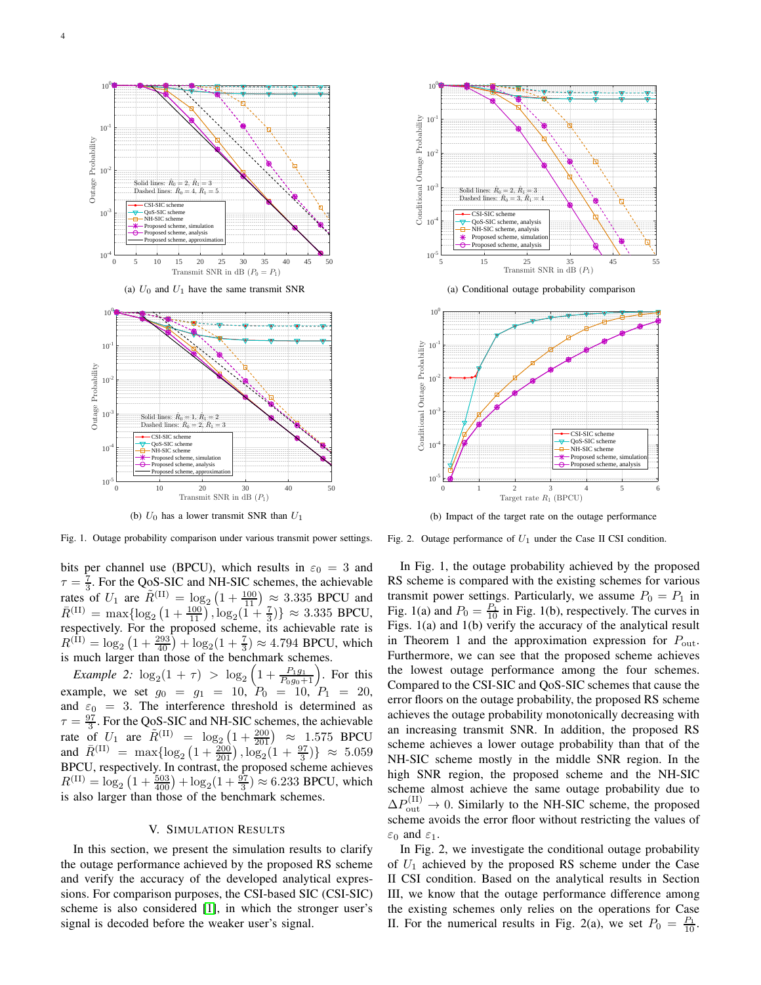



(b)  $U_0$  has a lower transmit SNR than  $U_1$ 

Fig. 1. Outage probability comparison under various transmit power settings.

bits per channel use (BPCU), which results in  $\varepsilon_0 = 3$  and  $\tau = \frac{7}{3}$ . For the QoS-SIC and NH-SIC schemes, the achievable rates of  $U_1$  are  $\tilde{R}^{(\text{II})} = \log_2(1 + \frac{100}{11}) \approx 3.335$  BPCU and  $\bar{R}^{(\text{II})} = \max\{\log_2\left(1 + \frac{100}{11}\right), \log_2\left(1 + \frac{7}{3}\right)\} \approx 3.335 \text{ BPCU},$ respectively. For the proposed scheme, its achievable rate is  $R^{(\text{II})} = \log_2\left(1 + \frac{293}{40}\right) + \log_2(1 + \frac{7}{3}) \approx 4.794$  BPCU, which is much larger than those of the benchmark schemes.

*Example 2:*  $\log_2(1 + \tau) > \log_2(1 + \frac{P_1g_1}{P_0g_0+1})$ . For this example, we set  $g_0 = g_1 = 10$ ,  $P_0 = 10$ ,  $P_1 = 20$ , and  $\varepsilon_0 = 3$ . The interference threshold is determined as  $\tau = \frac{97}{3}$ . For the QoS-SIC and NH-SIC schemes, the achievable rate of  $U_1$  are  $\tilde{R}^{(II)} = \log_2(1 + \frac{200}{201}) \approx 1.575$  BPCU and  $\bar{R}^{(\text{II})} = \max\{\log_2\left(1 + \frac{200}{201}\right), \log_2\left(1 + \frac{97}{3}\right)\} \approx 5.059$ BPCU, respectively. In contrast, the proposed scheme achieves  $R^{(\text{II})} = \log_2\left(1 + \frac{503}{400}\right) + \log_2\left(1 + \frac{97}{3}\right) \approx 6.233$  BPCU, which is also larger than those of the benchmark schemes.

### V. SIMULATION RESULTS

In this section, we present the simulation results to clarify the outage performance achieved by the proposed RS scheme and verify the accuracy of the developed analytical expressions. For comparison purposes, the CSI-based SIC (CSI-SIC) scheme is also considered [\[1\]](#page-4-0), in which the stronger user's signal is decoded before the weaker user's signal.





(b) Impact of the target rate on the outage performance

Fig. 2. Outage performance of  $U_1$  under the Case II CSI condition.

In Fig. 1, the outage probability achieved by the proposed RS scheme is compared with the existing schemes for various transmit power settings. Particularly, we assume  $P_0 = P_1$  in Fig. 1(a) and  $P_0 = \frac{P_1}{10}$  in Fig. 1(b), respectively. The curves in Figs. 1(a) and 1(b) verify the accuracy of the analytical result in Theorem 1 and the approximation expression for  $P_{\text{out}}$ . Furthermore, we can see that the proposed scheme achieves the lowest outage performance among the four schemes. Compared to the CSI-SIC and QoS-SIC schemes that cause the error floors on the outage probability, the proposed RS scheme achieves the outage probability monotonically decreasing with an increasing transmit SNR. In addition, the proposed RS scheme achieves a lower outage probability than that of the NH-SIC scheme mostly in the middle SNR region. In the high SNR region, the proposed scheme and the NH-SIC scheme almost achieve the same outage probability due to  $\Delta P_{\text{out}}^{(II)} \rightarrow 0$ . Similarly to the NH-SIC scheme, the proposed scheme avoids the error floor without restricting the values of  $\varepsilon_0$  and  $\varepsilon_1$ .

In Fig. 2, we investigate the conditional outage probability of  $U_1$  achieved by the proposed RS scheme under the Case II CSI condition. Based on the analytical results in Section III, we know that the outage performance difference among the existing schemes only relies on the operations for Case II. For the numerical results in Fig. 2(a), we set  $P_0 = \frac{P_1}{10}$ .